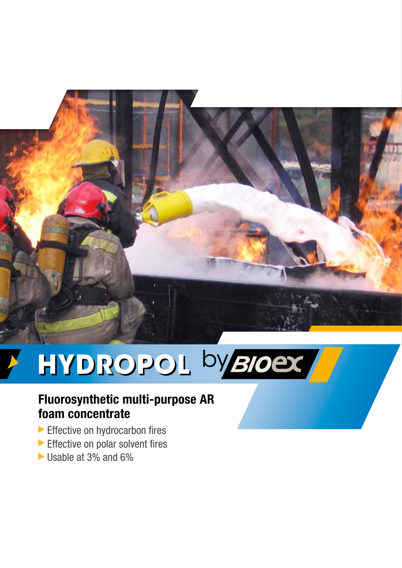

# HYDROPOL byBIOET

# **Fluorosynthetic multi-purpose AR foam concentrate**

- Effective on hydrocarbon fires
- Effective on polar solvent fires
- Usable at 3% and 6%